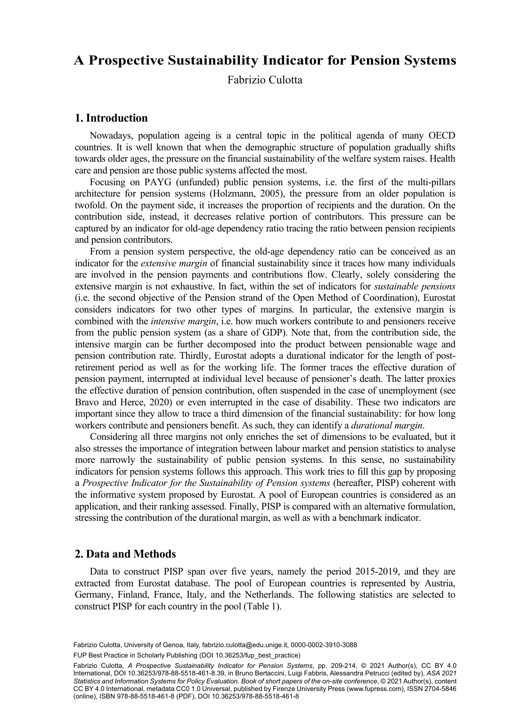### $\sum_{i=1}^{\infty} \frac{1}{i} \sum_{i=1}^{\infty} \frac{1}{i} \sum_{i=1}^{\infty} \frac{1}{i} \sum_{i=1}^{\infty} \frac{1}{i} \sum_{i=1}^{\infty} \frac{1}{i} \sum_{i=1}^{\infty} \frac{1}{i} \sum_{i=1}^{\infty} \frac{1}{i} \sum_{i=1}^{\infty} \frac{1}{i} \sum_{i=1}^{\infty} \frac{1}{i} \sum_{i=1}^{\infty} \frac{1}{i} \sum_{i=1}^{\infty} \frac{1}{i} \sum_{i=1}^{\infty$ **A Prospective Sustainability Indicator for Pension Systems**

Fabrizio Culotta

### **1. Introduction**

Nowadays, population ageing is a central topic in the political agenda of many OECD countries. It is well known that when the demographic structure of population gradually shifts towards older ages, the pressure on the financial sustainability of the welfare system raises. Health care and pension are those public systems affected the most.

Focusing on PAYG (unfunded) public pension systems, i.e. the first of the multi-pillars architecture for pension systems (Holzmann, 2005), the pressure from an older population is twofold. On the payment side, it increases the proportion of recipients and the duration. On the contribution side, instead, it decreases relative portion of contributors. This pressure can be captured by an indicator for old-age dependency ratio tracing the ratio between pension recipients and pension contributors.

From a pension system perspective, the old-age dependency ratio can be conceived as an indicator for the *extensive margin* of financial sustainability since it traces how many individuals are involved in the pension payments and contributions flow. Clearly, solely considering the extensive margin is not exhaustive. In fact, within the set of indicators for *sustainable pensions* (i.e. the second objective of the Pension strand of the Open Method of Coordination), Eurostat considers indicators for two other types of margins. In particular, the extensive margin is combined with the *intensive margin*, i.e. how much workers contribute to and pensioners receive from the public pension system (as a share of GDP). Note that, from the contribution side, the intensive margin can be further decomposed into the product between pensionable wage and pension contribution rate. Thirdly, Eurostat adopts a durational indicator for the length of postretirement period as well as for the working life. The former traces the effective duration of pension payment, interrupted at individual level because of pensioner's death. The latter proxies the effective duration of pension contribution, often suspended in the case of unemployment (see Bravo and Herce, 2020) or even interrupted in the case of disability. These two indicators are important since they allow to trace a third dimension of the financial sustainability: for how long workers contribute and pensioners benefit. As such, they can identify a *durational margin*.

Considering all three margins not only enriches the set of dimensions to be evaluated, but it also stresses the importance of integration between labour market and pension statistics to analyse more narrowly the sustainability of public pension systems. In this sense, no sustainability indicators for pension systems follows this approach. This work tries to fill this gap by proposing a *Prospective Indicator for the Sustainability of Pension systems* (hereafter, PISP) coherent with the informative system proposed by Eurostat. A pool of European countries is considered as an application, and their ranking assessed. Finally, PISP is compared with an alternative formulation, stressing the contribution of the durational margin, as well as with a benchmark indicator.

#### **2. Data and Methods**

Data to construct PISP span over five years, namely the period 2015-2019, and they are extracted from Eurostat database. The pool of European countries is represented by Austria, Germany, Finland, France, Italy, and the Netherlands. The following statistics are selected to construct PISP for each country in the pool (Table 1).

FUP Best Practice in Scholarly Publishing (DOI [10.36253/fup\\_best\\_practice](https://doi.org/10.36253/fup_best_practice))

Fabrizio Culotta, *A Prospective Sustainability Indicator for Pension Systems*, pp. 209-214, © 2021 Author(s), [CC BY 4.0](http://creativecommons.org/licenses/by/4.0/legalcode) [International](http://creativecommons.org/licenses/by/4.0/legalcode), DOI [10.36253/978-88-5518-461-8.39](https://doi.org/10.36253/978-88-5518-461-8.39), in Bruno Bertaccini, Luigi Fabbris, Alessandra Petrucci (edited by), *ASA 2021 Statistics and Information Systems for Policy Evaluation. Book of short papers of the on-site conference*, © 2021 Author(s), content [CC BY 4.0 International](http://creativecommons.org/licenses/by/4.0/legalcode), metadata [CC0 1.0 Universal](https://creativecommons.org/publicdomain/zero/1.0/legalcode), published by Firenze University Press ([www.fupress.com\)](http://www.fupress.com), ISSN 2704-5846 (online), ISBN 978-88-5518-461-8 (PDF), DOI [10.36253/978-88-5518-461-8](https://doi.org/10.36253/978-88-5518-461-8)

Fabrizio Culotta, University of Genoa, Italy, [fabrizio.culotta@edu.unige.it](mailto:fabrizio.culotta@edu.unige.it), [0000-0002-3910-3088](https://orcid.org/0000-0002-3910-3088)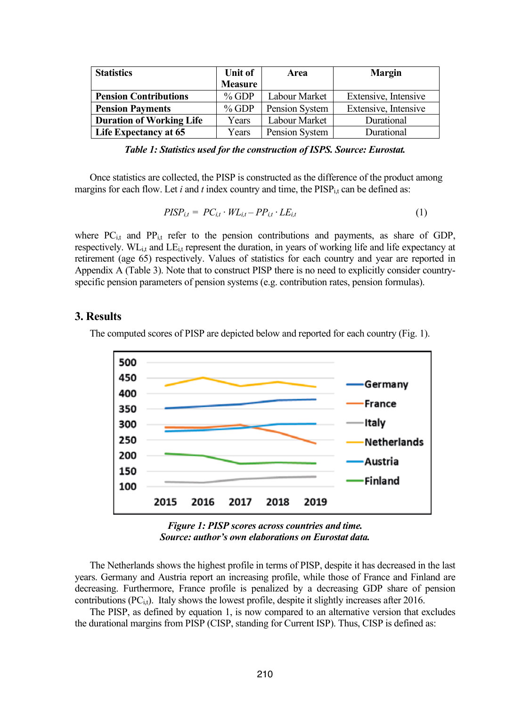| <b>Statistics</b>               | Unit of        | Area           | <b>Margin</b>        |  |
|---------------------------------|----------------|----------------|----------------------|--|
|                                 | <b>Measure</b> |                |                      |  |
| <b>Pension Contributions</b>    | $%$ GDP        | Labour Market  | Extensive, Intensive |  |
| <b>Pension Payments</b>         | $%$ GDP        | Pension System | Extensive, Intensive |  |
| <b>Duration of Working Life</b> | Years          | Labour Market  | Durational           |  |
| <b>Life Expectancy at 65</b>    | Years          | Pension System | Durational           |  |

*Table 1: Statistics used for the construction of ISPS. Source: Eurostat.*

Once statistics are collected, the PISP is constructed as the difference of the product among margins for each flow. Let  $i$  and  $t$  index country and time, the  $PISP_{i,t}$  can be defined as:

$$
PISP_{i,t} = PC_{i,t} \cdot WL_{i,t} - PP_{i,t} \cdot LE_{i,t} \tag{1}
$$

where PC<sub>i,t</sub> and PP<sub>i,t</sub> refer to the pension contributions and payments, as share of GDP, respectively. WL<sub>i,t</sub> and LE<sub>i,t</sub> represent the duration, in years of working life and life expectancy at retirement (age 65) respectively. Values of statistics for each country and year are reported in Appendix A (Table 3). Note that to construct PISP there is no need to explicitly consider countryspecific pension parameters of pension systems (e.g. contribution rates, pension formulas).

### **3. Results**

The computed scores of PISP are depicted below and reported for each country (Fig. 1).



*Figure 1: PISP scores across countries and time. Source: author's own elaborations on Eurostat data.*

The Netherlands shows the highest profile in terms of PISP, despite it has decreased in the last years. Germany and Austria report an increasing profile, while those of France and Finland are decreasing. Furthermore, France profile is penalized by a decreasing GDP share of pension contributions  $(PC_{i,t})$ . Italy shows the lowest profile, despite it slightly increases after 2016.

The PISP, as defined by equation 1, is now compared to an alternative version that excludes the durational margins from PISP (CISP, standing for Current ISP). Thus, CISP is defined as: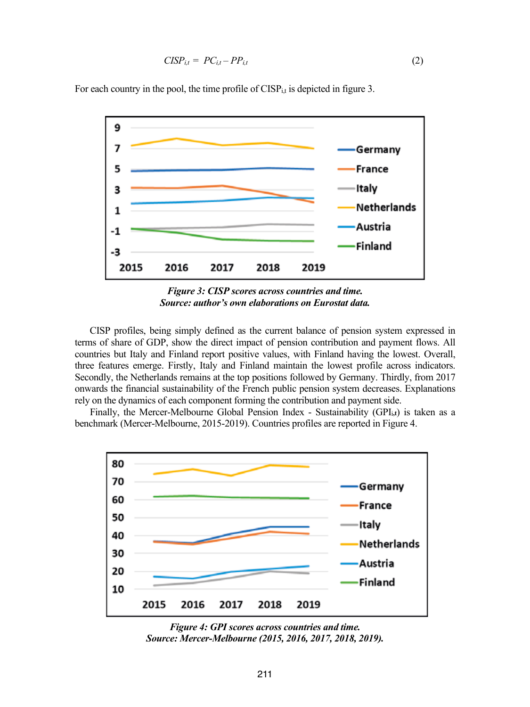$$
CISP_{i,t} = PC_{i,t} - PP_{i,t} \tag{2}
$$

For each country in the pool, the time profile of  $CISP_{it}$  is depicted in figure 3.



*Figure 3: CISP scores across countries and time. Source: author's own elaborations on Eurostat data.*

CISP profiles, being simply defined as the current balance of pension system expressed in terms of share of GDP, show the direct impact of pension contribution and payment flows. All countries but Italy and Finland report positive values, with Finland having the lowest. Overall, three features emerge. Firstly, Italy and Finland maintain the lowest profile across indicators. Secondly, the Netherlands remains at the top positions followed by Germany. Thirdly, from 2017 onwards the financial sustainability of the French public pension system decreases. Explanations rely on the dynamics of each component forming the contribution and payment side.

Finally, the Mercer-Melbourne Global Pension Index - Sustainability (GPIi**,t**) is taken as a benchmark (Mercer-Melbourne, 2015-2019). Countries profiles are reported in Figure 4.





211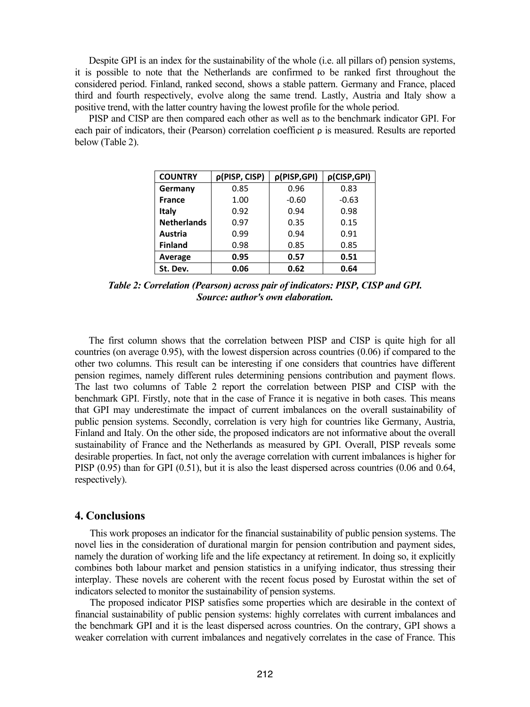Despite GPI is an index for the sustainability of the whole (i.e. all pillars of) pension systems, it is possible to note that the Netherlands are confirmed to be ranked first throughout the considered period. Finland, ranked second, shows a stable pattern. Germany and France, placed third and fourth respectively, evolve along the same trend. Lastly, Austria and Italy show a positive trend, with the latter country having the lowest profile for the whole period.

 PISP and CISP are then compared each other as well as to the benchmark indicator GPI. For each pair of indicators, their (Pearson) correlation coefficient ρ is measured. Results are reported below (Table 2).

| <b>COUNTRY</b>     | p(PISP, CISP) | p(PISP,GPI) | p(CISP,GPI) |  |
|--------------------|---------------|-------------|-------------|--|
| Germany            | 0.85          | 0.96        | 0.83        |  |
| France             | 1.00          | $-0.60$     | $-0.63$     |  |
| Italy              | 0.92          | 0.94        | 0.98        |  |
| <b>Netherlands</b> | 0.97          | 0.35        | 0.15        |  |
| Austria            | 0.99          | 0.94        | 0.91        |  |
| <b>Finland</b>     | 0.98          | 0.85        | 0.85        |  |
| Average            | 0.95          | 0.57        | 0.51        |  |
| St. Dev.           | 0.06          | 0.62        | 0.64        |  |

*Table 2: Correlation (Pearson) across pair of indicators: PISP, CISP and GPI. Source: author's own elaboration.*

 The first column shows that the correlation between PISP and CISP is quite high for all countries (on average  $0.95$ ), with the lowest dispersion across countries  $(0.06)$  if compared to the other two columns. This result can be interesting if one considers that countries have different pension regimes, namely different rules determining pensions contribution and payment flows. The last two columns of Table 2 report the correlation between PISP and CISP with the benchmark GPI. Firstly, note that in the case of France it is negative in both cases. This means that GPI may underestimate the impact of current imbalances on the overall sustainability of public pension systems. Secondly, correlation is very high for countries like Germany, Austria, Finland and Italy. On the other side, the proposed indicators are not informative about the overall sustainability of France and the Netherlands as measured by GPI. Overall, PISP reveals some desirable properties. In fact, not only the average correlation with current imbalances is higher for PISP (0.95) than for GPI (0.51), but it is also the least dispersed across countries (0.06 and 0.64, respectively).

#### **4. Conclusions**

This work proposes an indicator for the financial sustainability of public pension systems. The novel lies in the consideration of durational margin for pension contribution and payment sides, namely the duration of working life and the life expectancy at retirement. In doing so, it explicitly combines both labour market and pension statistics in a unifying indicator, thus stressing their interplay. These novels are coherent with the recent focus posed by Eurostat within the set of indicators selected to monitor the sustainability of pension systems.

The proposed indicator PISP satisfies some properties which are desirable in the context of financial sustainability of public pension systems: highly correlates with current imbalances and the benchmark GPI and it is the least dispersed across countries. On the contrary, GPI shows a weaker correlation with current imbalances and negatively correlates in the case of France. This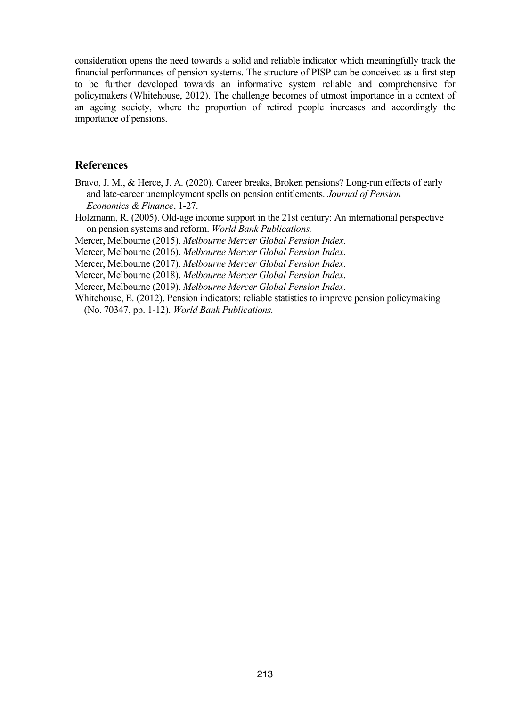consideration opens the need towards a solid and reliable indicator which meaningfully track the financial performances of pension systems. The structure of PISP can be conceived as a first step to be further developed towards an informative system reliable and comprehensive for policymakers (Whitehouse, 2012). The challenge becomes of utmost importance in a context of an ageing society, where the proportion of retired people increases and accordingly the importance of pensions.

## **References**

- Bravo, J. M., & Herce, J. A. (2020). Career breaks, Broken pensions? Long-run effects of early and late-career unemployment spells on pension entitlements. *Journal of Pension Economics & Finance*, 1-27.
- Holzmann, R. (2005). Old-age income support in the 21st century: An international perspective on pension systems and reform. *World Bank Publications.*

Mercer, Melbourne (2015). *Melbourne Mercer Global Pension Index*.

Mercer, Melbourne (2016). *Melbourne Mercer Global Pension Index*.

Mercer, Melbourne (2017). *Melbourne Mercer Global Pension Index*.

Mercer, Melbourne (2018). *Melbourne Mercer Global Pension Index*.

Mercer, Melbourne (2019). *Melbourne Mercer Global Pension Index*.

Whitehouse, E. (2012). Pension indicators: reliable statistics to improve pension policymaking (No. 70347, pp. 1-12). *World Bank Publications.*